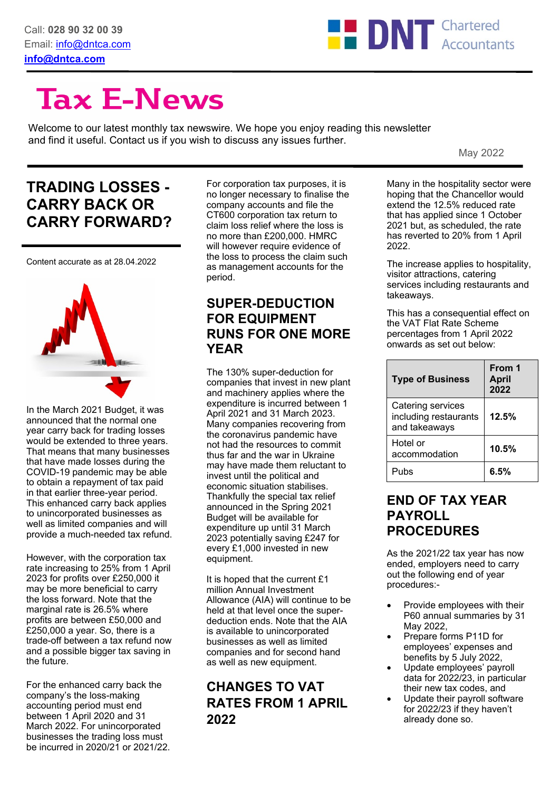

# **Tax E-News**

Welcome to our latest monthly tax newswire. We hope you enjoy reading this newsletter and find it useful. Contact us if you wish to discuss any issues further.

May 2022

# **TRADING LOSSES - CARRY BACK OR CARRY FORWARD?**

Content accurate as at 28.04.2022



In the March 2021 Budget, it was announced that the normal one year carry back for trading losses would be extended to three years. That means that many businesses that have made losses during the COVID-19 pandemic may be able to obtain a repayment of tax paid in that earlier three-year period. This enhanced carry back applies to unincorporated businesses as well as limited companies and will provide a much-needed tax refund.

However, with the corporation tax rate increasing to 25% from 1 April 2023 for profits over £250,000 it may be more beneficial to carry the loss forward. Note that the marginal rate is 26.5% where profits are between £50,000 and £250,000 a year. So, there is a trade-off between a tax refund now and a possible bigger tax saving in the future.

For the enhanced carry back the company's the loss-making accounting period must end between 1 April 2020 and 31 March 2022. For unincorporated businesses the trading loss must be incurred in 2020/21 or 2021/22.

For corporation tax purposes, it is no longer necessary to finalise the company accounts and file the CT600 corporation tax return to claim loss relief where the loss is no more than £200,000. HMRC will however require evidence of the loss to process the claim such as management accounts for the period.

#### **SUPER-DEDUCTION FOR EQUIPMENT RUNS FOR ONE MORE YEAR**

The 130% super-deduction for companies that invest in new plant and machinery applies where the expenditure is incurred between 1 April 2021 and 31 March 2023. Many companies recovering from the coronavirus pandemic have not had the resources to commit thus far and the war in Ukraine may have made them reluctant to invest until the political and economic situation stabilises. Thankfully the special tax relief announced in the Spring 2021 Budget will be available for expenditure up until 31 March 2023 potentially saving £247 for every £1,000 invested in new equipment.

It is hoped that the current £1 million Annual Investment Allowance (AIA) will continue to be held at that level once the superdeduction ends. Note that the AIA is available to unincorporated businesses as well as limited companies and for second hand as well as new equipment.

## **CHANGES TO VAT RATES FROM 1 APRIL 2022**

Many in the hospitality sector were hoping that the Chancellor would extend the 12.5% reduced rate that has applied since 1 October 2021 but, as scheduled, the rate has reverted to 20% from 1 April 2022.

The increase applies to hospitality, visitor attractions, catering services including restaurants and takeaways.

This has a consequential effect on the VAT Flat Rate Scheme percentages from 1 April 2022 onwards as set out below:

| <b>Type of Business</b>                                     | From 1<br><b>April</b><br>2022 |
|-------------------------------------------------------------|--------------------------------|
| Catering services<br>including restaurants<br>and takeaways | 12.5%                          |
| Hotel or<br>accommodation                                   | 10.5%                          |
| Pubs                                                        | 6.5%                           |

#### **END OF TAX YEAR PAYROLL PROCEDURES**

As the 2021/22 tax year has now ended, employers need to carry out the following end of year procedures:-

- Provide employees with their P60 annual summaries by 31 May 2022,
- Prepare forms P11D for employees' expenses and benefits by 5 July 2022,
- Update employees' payroll data for 2022/23, in particular their new tax codes, and
- Update their payroll software for 2022/23 if they haven't already done so.